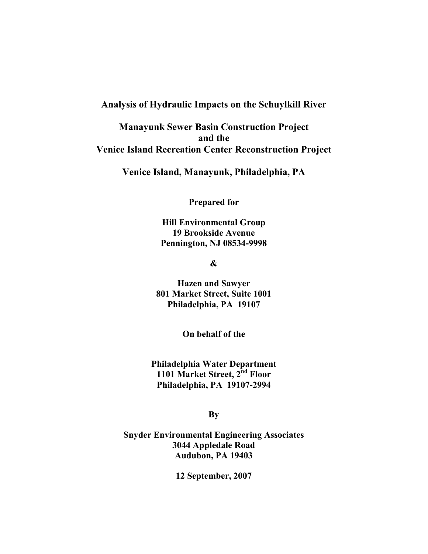# Analysis of Hydraulic Impacts on the Schuylkill River

Manayunk Sewer Basin Construction Project and the Venice Island Recreation Center Reconstruction Project

Venice Island, Manayunk, Philadelphia, PA

Prepared for

Hill Environmental Group 19 Brookside Avenue Pennington, NJ 08534-9998

&

Hazen and Sawyer 801 Market Street, Suite 1001 Philadelphia, PA 19107

On behalf of the

Philadelphia Water Department 1101 Market Street, 2<sup>nd</sup> Floor Philadelphia, PA 19107-2994

By

Snyder Environmental Engineering Associates 3044 Appledale Road Audubon, PA 19403

12 September, 2007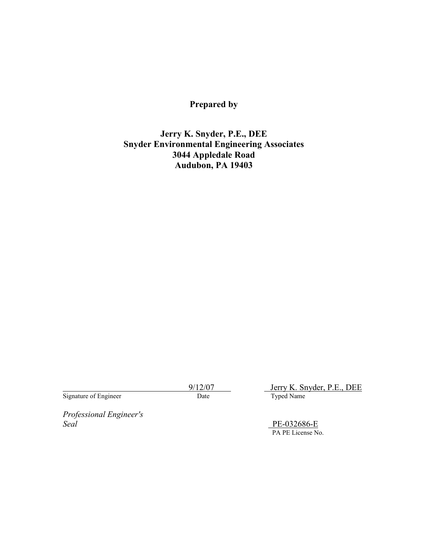# Prepared by

# Jerry K. Snyder, P.E., DEE Snyder Environmental Engineering Associates 3044 Appledale Road Audubon, PA 19403

Signature of Engineer

9/12/07 Jerry K. Snyder, P.E., DEE<br>Date Typed Name

Professional Engineer's Seal PE-032686-E

PA PE License No.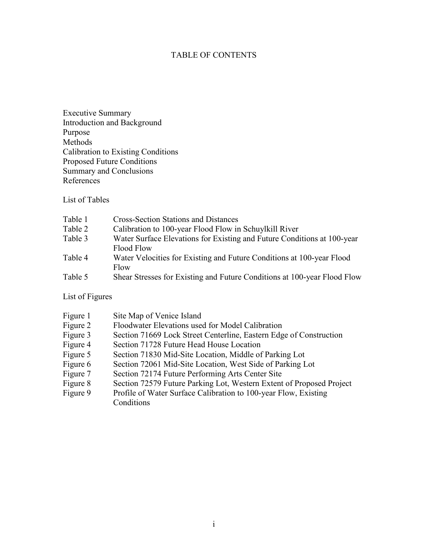## TABLE OF CONTENTS

Executive Summary Introduction and Background Purpose Methods Calibration to Existing Conditions Proposed Future Conditions Summary and Conclusions References

List of Tables

| Table 1 | <b>Cross-Section Stations and Distances</b>                              |
|---------|--------------------------------------------------------------------------|
| Table 2 | Calibration to 100-year Flood Flow in Schuylkill River                   |
| Table 3 | Water Surface Elevations for Existing and Future Conditions at 100-year  |
|         | Flood Flow                                                               |
| Table 4 | Water Velocities for Existing and Future Conditions at 100-year Flood    |
|         | Flow                                                                     |
| Table 5 | Shear Stresses for Existing and Future Conditions at 100-year Flood Flow |

List of Figures

| Figure 1 | Site Map of Venice Island                                            |
|----------|----------------------------------------------------------------------|
| Figure 2 | Floodwater Elevations used for Model Calibration                     |
| Figure 3 | Section 71669 Lock Street Centerline, Eastern Edge of Construction   |
| Figure 4 | Section 71728 Future Head House Location                             |
| Figure 5 | Section 71830 Mid-Site Location, Middle of Parking Lot               |
| Figure 6 | Section 72061 Mid-Site Location, West Side of Parking Lot            |
| Figure 7 | Section 72174 Future Performing Arts Center Site                     |
| Figure 8 | Section 72579 Future Parking Lot, Western Extent of Proposed Project |
| Figure 9 | Profile of Water Surface Calibration to 100-year Flow, Existing      |
|          | Conditions                                                           |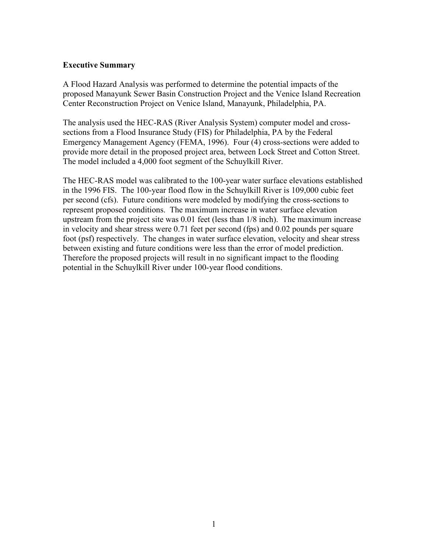#### Executive Summary

A Flood Hazard Analysis was performed to determine the potential impacts of the proposed Manayunk Sewer Basin Construction Project and the Venice Island Recreation Center Reconstruction Project on Venice Island, Manayunk, Philadelphia, PA.

The analysis used the HEC-RAS (River Analysis System) computer model and crosssections from a Flood Insurance Study (FIS) for Philadelphia, PA by the Federal Emergency Management Agency (FEMA, 1996). Four (4) cross-sections were added to provide more detail in the proposed project area, between Lock Street and Cotton Street. The model included a 4,000 foot segment of the Schuylkill River.

The HEC-RAS model was calibrated to the 100-year water surface elevations established in the 1996 FIS. The 100-year flood flow in the Schuylkill River is 109,000 cubic feet per second (cfs). Future conditions were modeled by modifying the cross-sections to represent proposed conditions. The maximum increase in water surface elevation upstream from the project site was 0.01 feet (less than 1/8 inch). The maximum increase in velocity and shear stress were 0.71 feet per second (fps) and 0.02 pounds per square foot (psf) respectively. The changes in water surface elevation, velocity and shear stress between existing and future conditions were less than the error of model prediction. Therefore the proposed projects will result in no significant impact to the flooding potential in the Schuylkill River under 100-year flood conditions.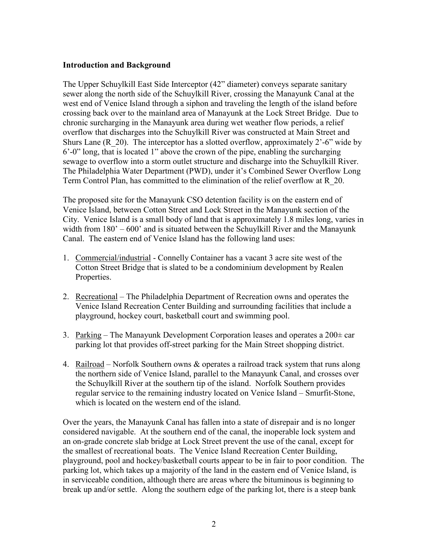#### Introduction and Background

The Upper Schuylkill East Side Interceptor (42" diameter) conveys separate sanitary sewer along the north side of the Schuylkill River, crossing the Manayunk Canal at the west end of Venice Island through a siphon and traveling the length of the island before crossing back over to the mainland area of Manayunk at the Lock Street Bridge. Due to chronic surcharging in the Manayunk area during wet weather flow periods, a relief overflow that discharges into the Schuylkill River was constructed at Main Street and Shurs Lane  $(R_20)$ . The interceptor has a slotted overflow, approximately 2'-6" wide by 6'-0" long, that is located 1" above the crown of the pipe, enabling the surcharging sewage to overflow into a storm outlet structure and discharge into the Schuylkill River. The Philadelphia Water Department (PWD), under it's Combined Sewer Overflow Long Term Control Plan, has committed to the elimination of the relief overflow at R\_20.

The proposed site for the Manayunk CSO detention facility is on the eastern end of Venice Island, between Cotton Street and Lock Street in the Manayunk section of the City. Venice Island is a small body of land that is approximately 1.8 miles long, varies in width from 180' – 600' and is situated between the Schuylkill River and the Manayunk Canal. The eastern end of Venice Island has the following land uses:

- 1. Commercial/industrial Connelly Container has a vacant 3 acre site west of the Cotton Street Bridge that is slated to be a condominium development by Realen Properties.
- 2. Recreational The Philadelphia Department of Recreation owns and operates the Venice Island Recreation Center Building and surrounding facilities that include a playground, hockey court, basketball court and swimming pool.
- 3. Parking The Manayunk Development Corporation leases and operates a  $200\pm$  car parking lot that provides off-street parking for the Main Street shopping district.
- 4. Railroad Norfolk Southern owns & operates a railroad track system that runs along the northern side of Venice Island, parallel to the Manayunk Canal, and crosses over the Schuylkill River at the southern tip of the island. Norfolk Southern provides regular service to the remaining industry located on Venice Island – Smurfit-Stone, which is located on the western end of the island.

Over the years, the Manayunk Canal has fallen into a state of disrepair and is no longer considered navigable. At the southern end of the canal, the inoperable lock system and an on-grade concrete slab bridge at Lock Street prevent the use of the canal, except for the smallest of recreational boats. The Venice Island Recreation Center Building, playground, pool and hockey/basketball courts appear to be in fair to poor condition. The parking lot, which takes up a majority of the land in the eastern end of Venice Island, is in serviceable condition, although there are areas where the bituminous is beginning to break up and/or settle. Along the southern edge of the parking lot, there is a steep bank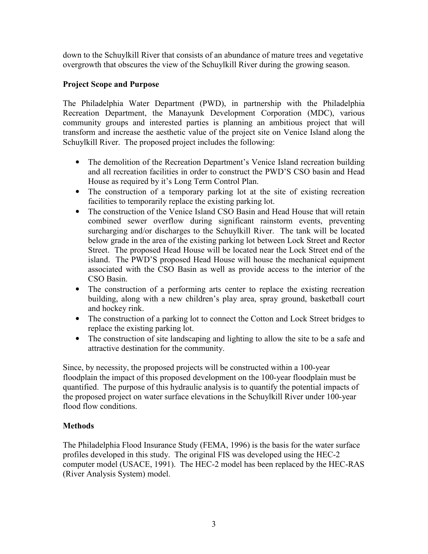down to the Schuylkill River that consists of an abundance of mature trees and vegetative overgrowth that obscures the view of the Schuylkill River during the growing season.

# Project Scope and Purpose

The Philadelphia Water Department (PWD), in partnership with the Philadelphia Recreation Department, the Manayunk Development Corporation (MDC), various community groups and interested parties is planning an ambitious project that will transform and increase the aesthetic value of the project site on Venice Island along the Schuylkill River. The proposed project includes the following:

- The demolition of the Recreation Department's Venice Island recreation building and all recreation facilities in order to construct the PWD'S CSO basin and Head House as required by it's Long Term Control Plan.
- The construction of a temporary parking lot at the site of existing recreation facilities to temporarily replace the existing parking lot.
- The construction of the Venice Island CSO Basin and Head House that will retain combined sewer overflow during significant rainstorm events, preventing surcharging and/or discharges to the Schuylkill River. The tank will be located below grade in the area of the existing parking lot between Lock Street and Rector Street. The proposed Head House will be located near the Lock Street end of the island. The PWD'S proposed Head House will house the mechanical equipment associated with the CSO Basin as well as provide access to the interior of the CSO Basin.
- The construction of a performing arts center to replace the existing recreation building, along with a new children's play area, spray ground, basketball court and hockey rink.
- The construction of a parking lot to connect the Cotton and Lock Street bridges to replace the existing parking lot.
- The construction of site landscaping and lighting to allow the site to be a safe and attractive destination for the community.

Since, by necessity, the proposed projects will be constructed within a 100-year floodplain the impact of this proposed development on the 100-year floodplain must be quantified. The purpose of this hydraulic analysis is to quantify the potential impacts of the proposed project on water surface elevations in the Schuylkill River under 100-year flood flow conditions.

## **Methods**

The Philadelphia Flood Insurance Study (FEMA, 1996) is the basis for the water surface profiles developed in this study. The original FIS was developed using the HEC-2 computer model (USACE, 1991). The HEC-2 model has been replaced by the HEC-RAS (River Analysis System) model.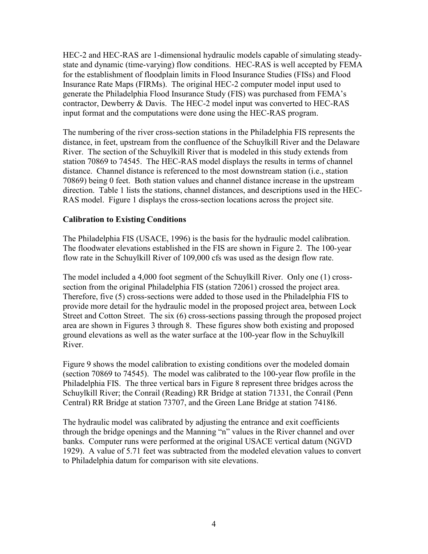HEC-2 and HEC-RAS are 1-dimensional hydraulic models capable of simulating steadystate and dynamic (time-varying) flow conditions. HEC-RAS is well accepted by FEMA for the establishment of floodplain limits in Flood Insurance Studies (FISs) and Flood Insurance Rate Maps (FIRMs). The original HEC-2 computer model input used to generate the Philadelphia Flood Insurance Study (FIS) was purchased from FEMA's contractor, Dewberry & Davis. The HEC-2 model input was converted to HEC-RAS input format and the computations were done using the HEC-RAS program.

The numbering of the river cross-section stations in the Philadelphia FIS represents the distance, in feet, upstream from the confluence of the Schuylkill River and the Delaware River. The section of the Schuylkill River that is modeled in this study extends from station 70869 to 74545. The HEC-RAS model displays the results in terms of channel distance. Channel distance is referenced to the most downstream station (i.e., station 70869) being 0 feet. Both station values and channel distance increase in the upstream direction. Table 1 lists the stations, channel distances, and descriptions used in the HEC-RAS model. Figure 1 displays the cross-section locations across the project site.

## Calibration to Existing Conditions

The Philadelphia FIS (USACE, 1996) is the basis for the hydraulic model calibration. The floodwater elevations established in the FIS are shown in Figure 2. The 100-year flow rate in the Schuylkill River of 109,000 cfs was used as the design flow rate.

The model included a 4,000 foot segment of the Schuylkill River. Only one (1) crosssection from the original Philadelphia FIS (station 72061) crossed the project area. Therefore, five (5) cross-sections were added to those used in the Philadelphia FIS to provide more detail for the hydraulic model in the proposed project area, between Lock Street and Cotton Street. The six (6) cross-sections passing through the proposed project area are shown in Figures 3 through 8. These figures show both existing and proposed ground elevations as well as the water surface at the 100-year flow in the Schuylkill River.

Figure 9 shows the model calibration to existing conditions over the modeled domain (section 70869 to 74545). The model was calibrated to the 100-year flow profile in the Philadelphia FIS. The three vertical bars in Figure 8 represent three bridges across the Schuylkill River; the Conrail (Reading) RR Bridge at station 71331, the Conrail (Penn Central) RR Bridge at station 73707, and the Green Lane Bridge at station 74186.

The hydraulic model was calibrated by adjusting the entrance and exit coefficients through the bridge openings and the Manning "n" values in the River channel and over banks. Computer runs were performed at the original USACE vertical datum (NGVD 1929). A value of 5.71 feet was subtracted from the modeled elevation values to convert to Philadelphia datum for comparison with site elevations.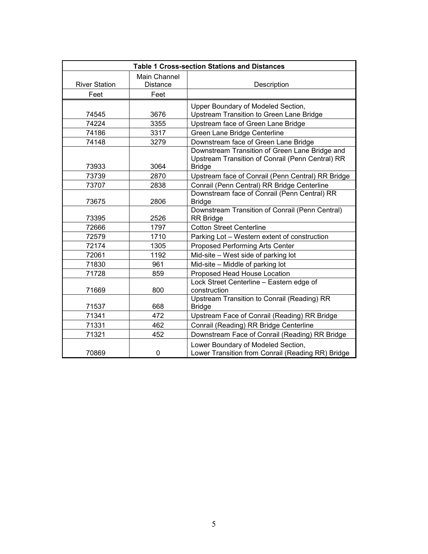| <b>Table 1 Cross-section Stations and Distances</b> |                 |                                                                                                                     |  |  |
|-----------------------------------------------------|-----------------|---------------------------------------------------------------------------------------------------------------------|--|--|
|                                                     | Main Channel    |                                                                                                                     |  |  |
| <b>River Station</b>                                | <b>Distance</b> | Description                                                                                                         |  |  |
| Feet                                                | Feet            |                                                                                                                     |  |  |
|                                                     |                 | Upper Boundary of Modeled Section,                                                                                  |  |  |
| 74545                                               | 3676            | Upstream Transition to Green Lane Bridge                                                                            |  |  |
| 74224                                               | 3355            | Upstream face of Green Lane Bridge                                                                                  |  |  |
| 74186                                               | 3317            | Green Lane Bridge Centerline                                                                                        |  |  |
| 74148                                               | 3279            | Downstream face of Green Lane Bridge                                                                                |  |  |
| 73933                                               | 3064            | Downstream Transition of Green Lane Bridge and<br>Upstream Transition of Conrail (Penn Central) RR<br><b>Bridge</b> |  |  |
| 73739                                               | 2870            | Upstream face of Conrail (Penn Central) RR Bridge                                                                   |  |  |
| 73707                                               | 2838            | Conrail (Penn Central) RR Bridge Centerline                                                                         |  |  |
| 73675                                               | 2806            | Downstream face of Conrail (Penn Central) RR<br><b>Bridge</b>                                                       |  |  |
| 73395                                               | 2526            | Downstream Transition of Conrail (Penn Central)<br><b>RR Bridge</b>                                                 |  |  |
| 72666                                               | 1797            | <b>Cotton Street Centerline</b>                                                                                     |  |  |
| 72579                                               | 1710            | Parking Lot - Western extent of construction                                                                        |  |  |
| 72174                                               | 1305            | Proposed Performing Arts Center                                                                                     |  |  |
| 72061                                               | 1192            | Mid-site – West side of parking lot                                                                                 |  |  |
| 71830                                               | 961             | Mid-site - Middle of parking lot                                                                                    |  |  |
| 71728                                               | 859             | Proposed Head House Location                                                                                        |  |  |
| 71669                                               | 800             | Lock Street Centerline - Eastern edge of<br>construction                                                            |  |  |
| 71537                                               | 668             | Upstream Transition to Conrail (Reading) RR<br><b>Bridge</b>                                                        |  |  |
| 71341                                               | 472             | Upstream Face of Conrail (Reading) RR Bridge                                                                        |  |  |
| 71331                                               | 462             | Conrail (Reading) RR Bridge Centerline                                                                              |  |  |
| 71321                                               | 452             | Downstream Face of Conrail (Reading) RR Bridge                                                                      |  |  |
| 70869                                               | $\mathbf 0$     | Lower Boundary of Modeled Section,<br>Lower Transition from Conrail (Reading RR) Bridge                             |  |  |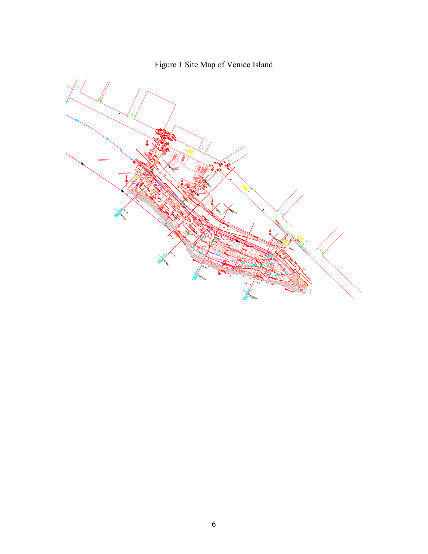

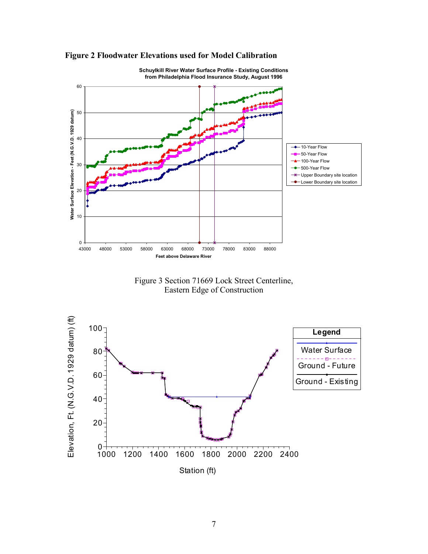



Schuylkill River Water Surface Profile - Existing Conditions from Philadelphia Flood Insurance Study, August 1996

Figure 3 Section 71669 Lock Street Centerline, Eastern Edge of Construction

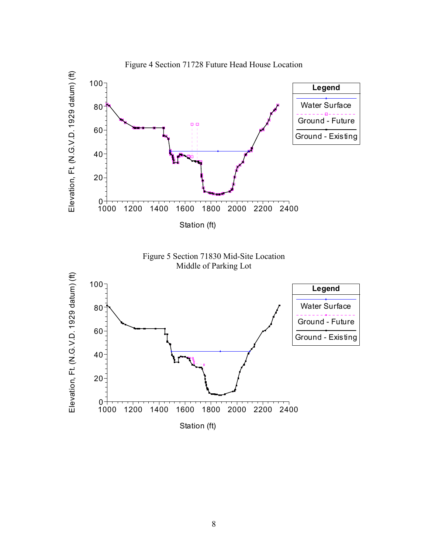

8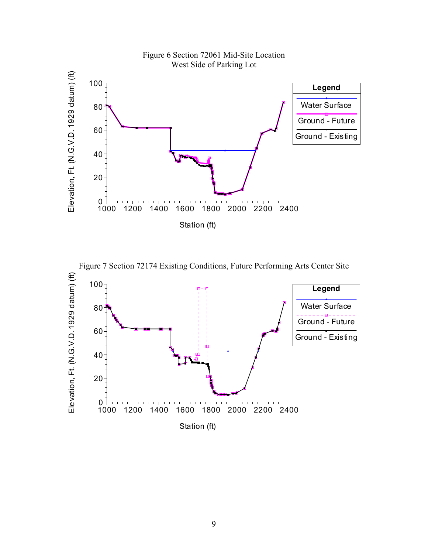



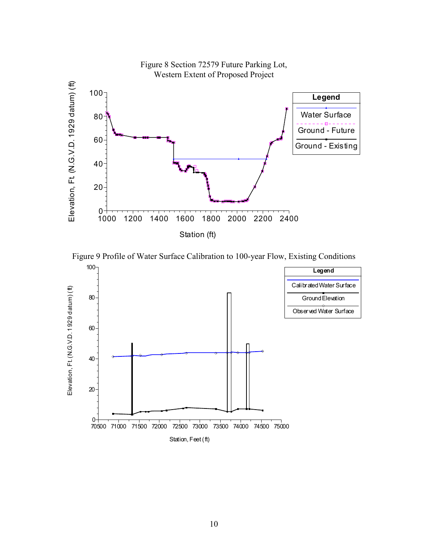



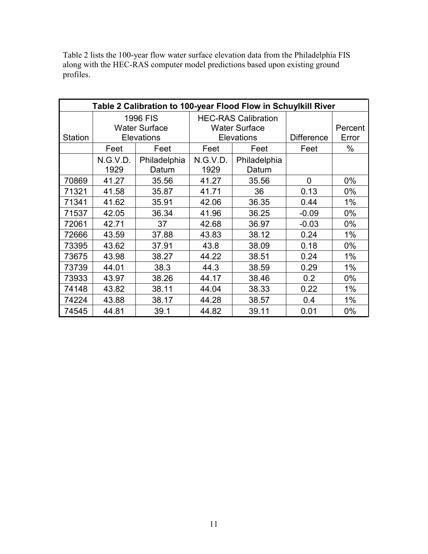| Table 2 lists the 100-year flow water surface elevation data from the Philadelphia FIS |
|----------------------------------------------------------------------------------------|
| along with the HEC-RAS computer model predictions based upon existing ground           |
| profiles.                                                                              |

| Table 2 Calibration to 100-year Flood Flow in Schuylkill River |                      |                   |                            |              |                   |         |
|----------------------------------------------------------------|----------------------|-------------------|----------------------------|--------------|-------------------|---------|
|                                                                |                      | 1996 FIS          | <b>HEC-RAS Calibration</b> |              |                   |         |
|                                                                | <b>Water Surface</b> |                   | <b>Water Surface</b>       |              |                   | Percent |
| <b>Station</b>                                                 |                      | <b>Elevations</b> | <b>Elevations</b>          |              | <b>Difference</b> | Error   |
|                                                                | Feet                 | Feet              | Feet                       | Feet         | Feet              | $\%$    |
|                                                                | N.G.V.D.             | Philadelphia      | N.G.V.D.                   | Philadelphia |                   |         |
|                                                                | 1929                 | Datum             | 1929                       | Datum        |                   |         |
| 70869                                                          | 41.27                | 35.56             | 41.27                      | 35.56        | $\mathbf 0$       | 0%      |
| 71321                                                          | 41.58                | 35.87             | 41.71                      | 36           | 0.13              | $0\%$   |
| 71341                                                          | 41.62                | 35.91             | 42.06                      | 36.35        | 0.44              | 1%      |
| 71537                                                          | 42.05                | 36.34             | 41.96                      | 36.25        | $-0.09$           | $0\%$   |
| 72061                                                          | 42.71                | 37                | 36.97<br>42.68             |              | $-0.03$           | $0\%$   |
| 72666                                                          | 43.59                | 37.88             | 43.83                      | 38.12        | 0.24              | $1\%$   |
| 73395                                                          | 43.62                | 37.91             | 43.8                       | 38.09        | 0.18              | $0\%$   |
| 73675                                                          | 43.98                | 38.27             | 44.22                      | 38.51        | 0.24              | 1%      |
| 73739                                                          | 44.01                | 38.3              | 44.3                       | 38.59        | 0.29              | 1%      |
| 73933                                                          | 43.97                | 38.26             | 44.17                      | 38.46        | 0.2               | $0\%$   |
| 74148                                                          | 43.82                | 38.11             | 44.04                      | 38.33        | 0.22              | 1%      |
| 74224                                                          | 43.88                | 38.17             | 44.28                      | 38.57        | 0.4               | 1%      |
| 74545                                                          | 44.81                | 39.1              | 44.82                      | 39.11        | 0.01              | $0\%$   |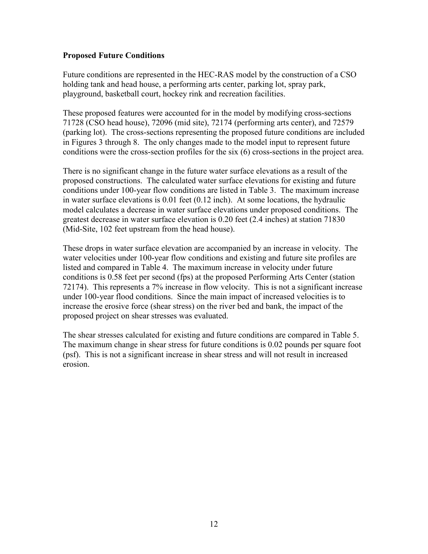#### Proposed Future Conditions

Future conditions are represented in the HEC-RAS model by the construction of a CSO holding tank and head house, a performing arts center, parking lot, spray park, playground, basketball court, hockey rink and recreation facilities.

These proposed features were accounted for in the model by modifying cross-sections 71728 (CSO head house), 72096 (mid site), 72174 (performing arts center), and 72579 (parking lot). The cross-sections representing the proposed future conditions are included in Figures 3 through 8. The only changes made to the model input to represent future conditions were the cross-section profiles for the six (6) cross-sections in the project area.

There is no significant change in the future water surface elevations as a result of the proposed constructions. The calculated water surface elevations for existing and future conditions under 100-year flow conditions are listed in Table 3. The maximum increase in water surface elevations is 0.01 feet (0.12 inch). At some locations, the hydraulic model calculates a decrease in water surface elevations under proposed conditions. The greatest decrease in water surface elevation is 0.20 feet (2.4 inches) at station 71830 (Mid-Site, 102 feet upstream from the head house).

These drops in water surface elevation are accompanied by an increase in velocity. The water velocities under 100-year flow conditions and existing and future site profiles are listed and compared in Table 4. The maximum increase in velocity under future conditions is 0.58 feet per second (fps) at the proposed Performing Arts Center (station 72174). This represents a 7% increase in flow velocity. This is not a significant increase under 100-year flood conditions. Since the main impact of increased velocities is to increase the erosive force (shear stress) on the river bed and bank, the impact of the proposed project on shear stresses was evaluated.

The shear stresses calculated for existing and future conditions are compared in Table 5. The maximum change in shear stress for future conditions is 0.02 pounds per square foot (psf). This is not a significant increase in shear stress and will not result in increased erosion.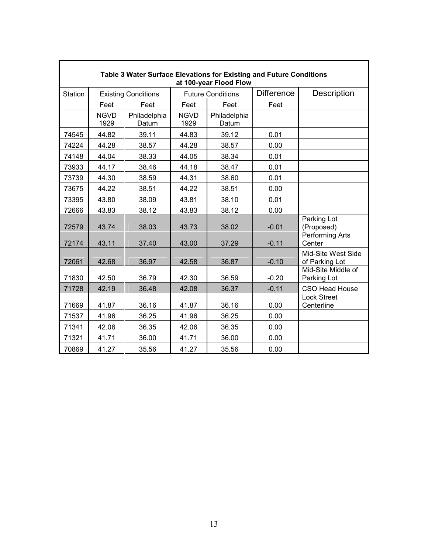| Table 3 Water Surface Elevations for Existing and Future Conditions<br>at 100-year Flood Flow |                     |                            |                          |                       |                   |                                      |
|-----------------------------------------------------------------------------------------------|---------------------|----------------------------|--------------------------|-----------------------|-------------------|--------------------------------------|
| Station                                                                                       |                     | <b>Existing Conditions</b> | <b>Future Conditions</b> |                       | <b>Difference</b> | Description                          |
|                                                                                               | Feet                | Feet                       | Feet                     | Feet                  | Feet              |                                      |
|                                                                                               | <b>NGVD</b><br>1929 | Philadelphia<br>Datum      | <b>NGVD</b><br>1929      | Philadelphia<br>Datum |                   |                                      |
| 74545                                                                                         | 44.82               | 39.11                      | 44.83                    | 39.12                 | 0.01              |                                      |
| 74224                                                                                         | 44.28               | 38.57                      | 44.28                    | 38.57                 | 0.00              |                                      |
| 74148                                                                                         | 44.04               | 38.33                      | 44.05                    | 38.34                 | 0.01              |                                      |
| 73933                                                                                         | 44.17               | 38.46                      | 44.18                    | 38.47                 | 0.01              |                                      |
| 73739                                                                                         | 44.30               | 38.59                      | 44.31                    | 38.60                 | 0.01              |                                      |
| 73675                                                                                         | 44.22               | 38.51                      | 44.22                    | 38.51                 | 0.00              |                                      |
| 73395                                                                                         | 43.80               | 38.09                      | 43.81                    | 38.10                 | 0.01              |                                      |
| 72666                                                                                         | 43.83               | 38.12                      | 43.83                    | 38.12                 | 0.00              |                                      |
| 72579                                                                                         | 43.74               | 38.03                      | 43.73                    | 38.02                 | $-0.01$           | Parking Lot<br>(Proposed)            |
| 72174                                                                                         | 43.11               | 37.40                      | 43.00                    | 37.29                 | $-0.11$           | Performing Arts<br>Center            |
| 72061                                                                                         | 42.68               | 36.97                      | 42.58                    | 36.87                 | $-0.10$           | Mid-Site West Side<br>of Parking Lot |
| 71830                                                                                         | 42.50               | 36.79                      | 42.30                    | 36.59                 | $-0.20$           | Mid-Site Middle of<br>Parking Lot    |
| 71728                                                                                         | 42.19               | 36.48                      | 42.08                    | 36.37                 | $-0.11$           | CSO Head House                       |
| 71669                                                                                         | 41.87               | 36.16                      | 41.87                    | 36.16                 | 0.00              | <b>Lock Street</b><br>Centerline     |
| 71537                                                                                         | 41.96               | 36.25                      | 41.96                    | 36.25                 | 0.00              |                                      |
| 71341                                                                                         | 42.06               | 36.35                      | 42.06                    | 36.35                 | 0.00              |                                      |
| 71321                                                                                         | 41.71               | 36.00                      | 41.71                    | 36.00                 | 0.00              |                                      |
| 70869                                                                                         | 41.27               | 35.56                      | 41.27                    | 35.56                 | 0.00              |                                      |

٦

r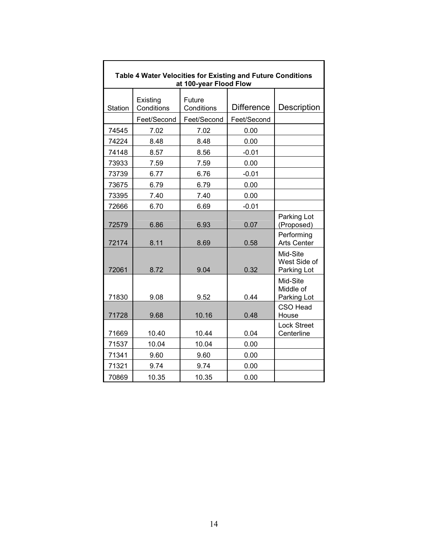| Table 4 Water Velocities for Existing and Future Conditions<br>at 100-year Flood Flow |                        |                      |                   |                                         |  |  |
|---------------------------------------------------------------------------------------|------------------------|----------------------|-------------------|-----------------------------------------|--|--|
| Station                                                                               | Existing<br>Conditions | Future<br>Conditions | <b>Difference</b> | Description                             |  |  |
|                                                                                       | Feet/Second            | Feet/Second          | Feet/Second       |                                         |  |  |
| 74545                                                                                 | 7.02                   | 7.02                 | 0.00              |                                         |  |  |
| 74224                                                                                 | 8.48                   | 8.48                 | 0.00              |                                         |  |  |
| 74148                                                                                 | 8.57                   | 8.56                 | $-0.01$           |                                         |  |  |
| 73933                                                                                 | 7.59                   | 7.59                 | 0.00              |                                         |  |  |
| 73739                                                                                 | 6.77                   | 6.76                 | $-0.01$           |                                         |  |  |
| 73675                                                                                 | 6.79                   | 6.79                 | 0.00              |                                         |  |  |
| 73395                                                                                 | 7.40                   | 7.40                 | 0.00              |                                         |  |  |
| 72666                                                                                 | 6.70                   | 6.69                 | $-0.01$           |                                         |  |  |
| 72579                                                                                 | 6.86                   | 6.93                 | 0.07              | Parking Lot<br>(Proposed)               |  |  |
| 72174                                                                                 | 8.11                   | 8.69                 | 0.58              | Performing<br><b>Arts Center</b>        |  |  |
| 72061                                                                                 | 8.72                   | 9.04                 | 0.32              | Mid-Site<br>West Side of<br>Parking Lot |  |  |
| 71830                                                                                 | 9.08                   | 9.52                 | 0.44              | Mid-Site<br>Middle of<br>Parking Lot    |  |  |
| 71728                                                                                 | 9.68                   | 10.16                | 0.48              | <b>CSO Head</b><br>House                |  |  |
| 71669                                                                                 | 10.40                  | 10.44                | 0.04              | <b>Lock Street</b><br>Centerline        |  |  |
| 71537                                                                                 | 10.04                  | 10.04                | 0.00              |                                         |  |  |
| 71341                                                                                 | 9.60                   | 9.60                 | 0.00              |                                         |  |  |
| 71321                                                                                 | 9.74                   | 9.74                 | 0.00              |                                         |  |  |
| 70869                                                                                 | 10.35                  | 10.35                | 0.00              |                                         |  |  |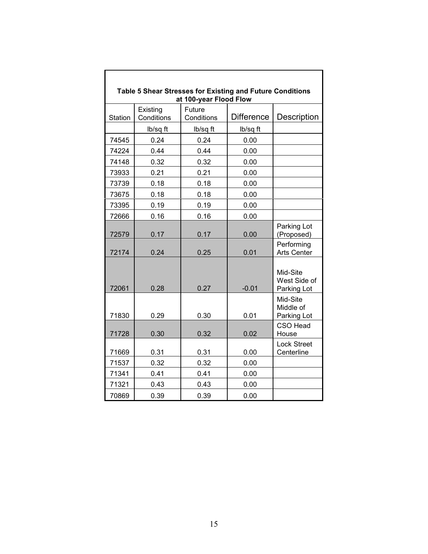| Table 5 Shear Stresses for Existing and Future Conditions<br>at 100-year Flood Flow |                        |                      |                   |                                         |  |  |  |
|-------------------------------------------------------------------------------------|------------------------|----------------------|-------------------|-----------------------------------------|--|--|--|
| <b>Station</b>                                                                      | Existing<br>Conditions | Future<br>Conditions | <b>Difference</b> | <b>Description</b>                      |  |  |  |
|                                                                                     | lb/sq ft               | lb/sq ft             | lb/sq ft          |                                         |  |  |  |
| 74545                                                                               | 0.24                   | 0.24                 | 0.00              |                                         |  |  |  |
| 74224                                                                               | 0.44                   | 0.44                 | 0.00              |                                         |  |  |  |
| 74148                                                                               | 0.32                   | 0.32                 | 0.00              |                                         |  |  |  |
| 73933                                                                               | 0.21                   | 0.21                 | 0.00              |                                         |  |  |  |
| 73739                                                                               | 0.18                   | 0.18                 | 0.00              |                                         |  |  |  |
| 73675                                                                               | 0.18                   | 0.18                 | 0.00              |                                         |  |  |  |
| 73395                                                                               | 0.19                   | 0.19                 | 0.00              |                                         |  |  |  |
| 72666                                                                               | 0.16                   | 0.16                 | 0.00              |                                         |  |  |  |
| 72579                                                                               | 0.17                   | 0.17                 | 0.00              | Parking Lot<br>(Proposed)               |  |  |  |
| 72174                                                                               | 0.24                   | 0.25                 | 0.01              | Performing<br><b>Arts Center</b>        |  |  |  |
| 72061                                                                               | 0.28                   | 0.27                 | $-0.01$           | Mid-Site<br>West Side of<br>Parking Lot |  |  |  |
| 71830                                                                               | 0.29                   | 0.30                 | 0.01              | Mid-Site<br>Middle of<br>Parking Lot    |  |  |  |
| 71728                                                                               | 0.30                   | 0.32                 | 0.02              | <b>CSO Head</b><br>House                |  |  |  |
| 71669                                                                               | 0.31                   | 0.31                 | 0.00              | <b>Lock Street</b><br>Centerline        |  |  |  |
| 71537                                                                               | 0.32                   | 0.32                 | 0.00              |                                         |  |  |  |
| 71341                                                                               | 0.41                   | 0.41                 | 0.00              |                                         |  |  |  |
| 71321                                                                               | 0.43                   | 0.43                 | 0.00              |                                         |  |  |  |
| 70869                                                                               | 0.39                   | 0.39                 | 0.00              |                                         |  |  |  |

 $\overline{\phantom{a}}$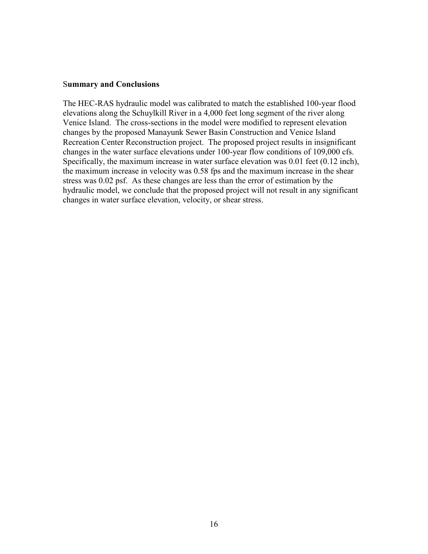#### Summary and Conclusions

The HEC-RAS hydraulic model was calibrated to match the established 100-year flood elevations along the Schuylkill River in a 4,000 feet long segment of the river along Venice Island. The cross-sections in the model were modified to represent elevation changes by the proposed Manayunk Sewer Basin Construction and Venice Island Recreation Center Reconstruction project. The proposed project results in insignificant changes in the water surface elevations under 100-year flow conditions of 109,000 cfs. Specifically, the maximum increase in water surface elevation was 0.01 feet (0.12 inch), the maximum increase in velocity was 0.58 fps and the maximum increase in the shear stress was 0.02 psf. As these changes are less than the error of estimation by the hydraulic model, we conclude that the proposed project will not result in any significant changes in water surface elevation, velocity, or shear stress.